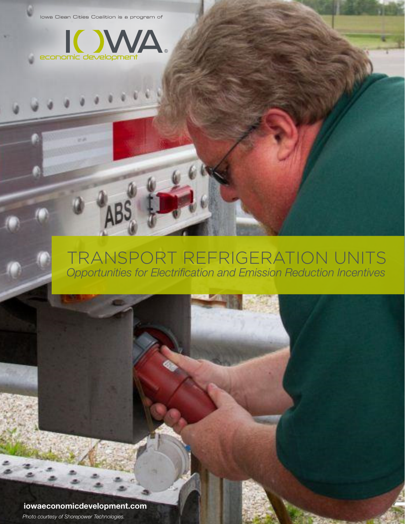Iowa Clean Cities Coalition is a program of



### TRANSPORT REFRIGERATION UNITS *Opportunities for Electrification and Emission Reduction Incentives*

**iowaeconomicdevelopment.com** *Photo courtesy of Shorepower Technologies.*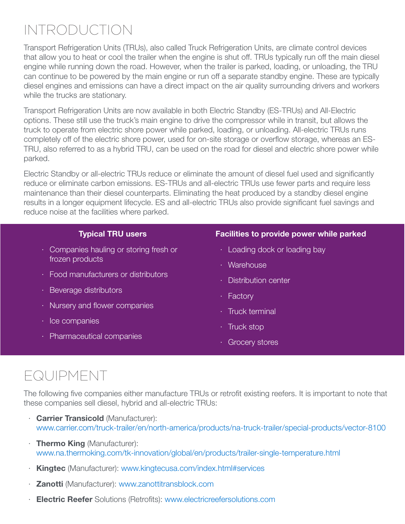# INTRODUCTION

Transport Refrigeration Units (TRUs), also called Truck Refrigeration Units, are climate control devices that allow you to heat or cool the trailer when the engine is shut off. TRUs typically run off the main diesel engine while running down the road. However, when the trailer is parked, loading, or unloading, the TRU can continue to be powered by the main engine or run off a separate standby engine. These are typically diesel engines and emissions can have a direct impact on the air quality surrounding drivers and workers while the trucks are stationary.

Transport Refrigeration Units are now available in both Electric Standby (ES-TRUs) and All-Electric options. These still use the truck's main engine to drive the compressor while in transit, but allows the truck to operate from electric shore power while parked, loading, or unloading. All-electric TRUs runs completely off of the electric shore power, used for on-site storage or overflow storage, whereas an ES-TRU, also referred to as a hybrid TRU, can be used on the road for diesel and electric shore power while parked.

Electric Standby or all-electric TRUs reduce or eliminate the amount of diesel fuel used and significantly reduce or eliminate carbon emissions. ES-TRUs and all-electric TRUs use fewer parts and require less maintenance than their diesel counterparts. Eliminating the heat produced by a standby diesel engine results in a longer equipment lifecycle. ES and all-electric TRUs also provide significant fuel savings and reduce noise at the facilities where parked.

#### **Typical TRU users**

- · Companies hauling or storing fresh or frozen products
- · Food manufacturers or distributors
- · Beverage distributors
- · Nursery and flower companies
- · Ice companies
- · Pharmaceutical companies

#### **Facilities to provide power while parked**

- · Loading dock or loading bay
- · Warehouse
- · Distribution center
- · Factory
- · Truck terminal
- · Truck stop
- · Grocery stores

# EQUIPMENT

The following five companies either manufacture TRUs or retrofit existing reefers. It is important to note that these companies sell diesel, hybrid and all-electric TRUs:

- · **Carrier Transicold** (Manufacturer): [www.carrier.com/truck-trailer/en/north-america/products/na-truck-trailer/special-products/vector-8100](http://www.carrier.com/truck-trailer/en/north-america/products/na-truck-trailer/special-products/vector-8100)
- · **Thermo King** (Manufacturer): [www.na.thermoking.com/tk-innovation/global/en/products/trailer-single-temperature.html](http://www.na.thermoking.com/tk-innovation/global/en/products/trailer-single-temperature.html)
- · **Kingtec** (Manufacturer): [www.kingtecusa.com/index.html#services](http://www.kingtecusa.com/index.html#services)
- · **Zanotti** (Manufacturer): [www.zanottitransblock.com](http://www.zanottitransblock.com)
- · **Electric Reefer** Solutions (Retrofits): [www.electricreefersolutions.com](http://www.electricreefersolutions.com)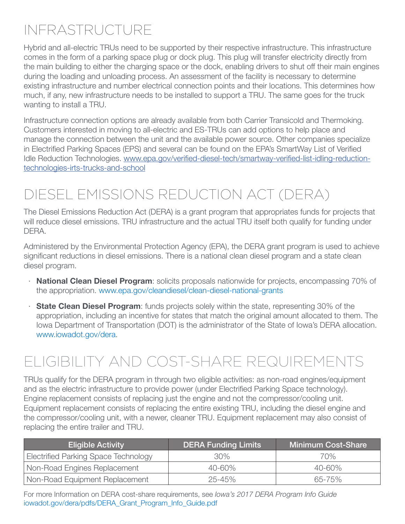# INFRASTRUCTURE

Hybrid and all-electric TRUs need to be supported by their respective infrastructure. This infrastructure comes in the form of a parking space plug or dock plug. This plug will transfer electricity directly from the main building to either the charging space or the dock, enabling drivers to shut off their main engines during the loading and unloading process. An assessment of the facility is necessary to determine existing infrastructure and number electrical connection points and their locations. This determines how much, if any, new infrastructure needs to be installed to support a TRU. The same goes for the truck wanting to install a TRU.

Infrastructure connection options are already available from both Carrier Transicold and Thermoking. Customers interested in moving to all-electric and ES-TRUs can add options to help place and manage the connection between the unit and the available power source. Other companies specialize in Electrified Parking Spaces (EPS) and several can be found on the EPA's SmartWay List of Verified Idle Reduction Technologies. [www.epa.gov/verified-diesel-tech/smartway-verified-list-idling-reduction](https://www.epa.gov/verified-diesel-tech/smartway-verified-list-idling-reduction-technologies-irts-trucks-and-school)[technologies-irts-trucks-and-school](https://www.epa.gov/verified-diesel-tech/smartway-verified-list-idling-reduction-technologies-irts-trucks-and-school)

# DIESEL EMISSIONS REDUCTION ACT (DERA)

The Diesel Emissions Reduction Act (DERA) is a grant program that appropriates funds for projects that will reduce diesel emissions. TRU infrastructure and the actual TRU itself both qualify for funding under DERA.

Administered by the Environmental Protection Agency (EPA), the DERA grant program is used to achieve significant reductions in diesel emissions. There is a national clean diesel program and a state clean diesel program.

- · **National Clean Diesel Program**: solicits proposals nationwide for projects, encompassing 70% of the appropriation. [www.epa.gov/cleandiesel/clean-diesel-national-grants](http://www.epa.gov/cleandiesel/clean-diesel-national-grants)
- · **State Clean Diesel Program**: funds projects solely within the state, representing 30% of the appropriation, including an incentive for states that match the original amount allocated to them. The Iowa Department of Transportation (DOT) is the administrator of the State of Iowa's DERA allocation. [www.iowadot.gov/dera.](http://www.iowadot.gov/dera)

# ELIGIBILITY AND COST-SHARE REQUIREMENTS

TRUs qualify for the DERA program in through two eligible activities: as non-road engines/equipment and as the electric infrastructure to provide power (under Electrified Parking Space technology). Engine replacement consists of replacing just the engine and not the compressor/cooling unit. Equipment replacement consists of replacing the entire existing TRU, including the diesel engine and the compressor/cooling unit, with a newer, cleaner TRU. Equipment replacement may also consist of replacing the entire trailer and TRU.

| <b>Eligible Activity</b>             | <b>DERA Funding Limits</b> | <b>Minimum Cost-Share</b> |
|--------------------------------------|----------------------------|---------------------------|
| Electrified Parking Space Technology | $30\%$                     | 70%                       |
| Non-Road Engines Replacement         | $40 - 60\%$                | 40-60%                    |
| Non-Road Equipment Replacement       | $25 - 45%$                 | 65-75%                    |

For more Information on DERA cost-share requirements, see *Iowa's 2017 DERA Program Info Guide* iowadot.gov/dera/pdfs/DERA\_Grant\_Program\_Info\_Guide.pdf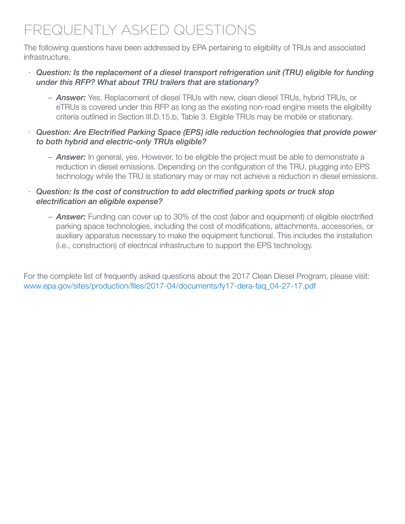# FREQUENTLY ASKED QUESTIONS

The following questions have been addressed by EPA pertaining to eligibility of TRUs and associated infrastructure.

#### · *Question: Is the replacement of a diesel transport refrigeration unit (TRU) eligible for funding under this RFP? What about TRU trailers that are stationary?*

– *Answer:* Yes. Replacement of diesel TRUs with new, clean diesel TRUs, hybrid TRUs, or eTRUs is covered under this RFP as long as the existing non-road engine meets the eligibility criteria outlined in Section III.D.15.b, Table 3. Eligible TRUs may be mobile or stationary.

#### · *Question: Are Electrified Parking Space (EPS) idle reduction technologies that provide power to both hybrid and electric-only TRUs eligible?*

– *Answer:* In general, yes. However, to be eligible the project must be able to demonstrate a reduction in diesel emissions. Depending on the configuration of the TRU, plugging into EPS technology while the TRU is stationary may or may not achieve a reduction in diesel emissions.

#### · *Question: Is the cost of construction to add electrified parking spots or truck stop electrification an eligible expense?*

– *Answer:* Funding can cover up to 30% of the cost (labor and equipment) of eligible electrified parking space technologies, including the cost of modifications, attachments, accessories, or auxiliary apparatus necessary to make the equipment functional. This includes the installation (i.e., construction) of electrical infrastructure to support the EPS technology.

For the complete list of frequently asked questions about the 2017 Clean Diesel Program, please visit: [www.epa.gov/sites/production/files/2017-04/documents/fy17-dera-faq\\_04-27-17.pdf](http://www.epa.gov/sites/production/files/2017-04/documents/fy17-dera-faq_04-27-17.pdf)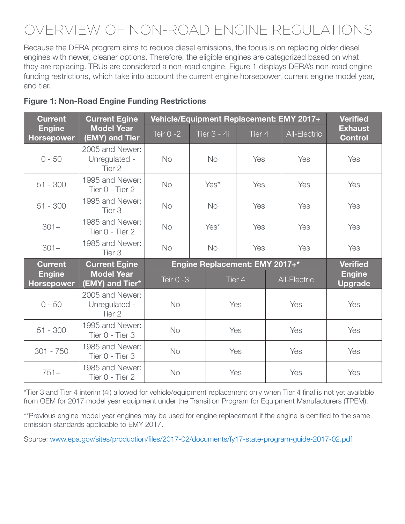# OVERVIEW OF NON-ROAD ENGINE REGULATIONS

Because the DERA program aims to reduce diesel emissions, the focus is on replacing older diesel engines with newer, cleaner options. Therefore, the eligible engines are categorized based on what they are replacing. TRUs are considered a non-road engine. Figure 1 displays DERA's non-road engine funding restrictions, which take into account the current engine horsepower, current engine model year, and tier.

| <b>Current</b>                                                            | <b>Current Egine</b>                       | Vehicle/Equipment Replacement: EMY 2017+ |                  |                       |     |     |                     | <b>Verified</b>                  |
|---------------------------------------------------------------------------|--------------------------------------------|------------------------------------------|------------------|-----------------------|-----|-----|---------------------|----------------------------------|
| <b>Model Year</b><br><b>Engine</b><br><b>Horsepower</b><br>(EMY) and Tier |                                            | Teir $0 - 2$                             |                  | Tier 3 - 4i<br>Tier 4 |     |     | <b>All-Electric</b> | <b>Exhaust</b><br><b>Control</b> |
| $0 - 50$                                                                  | 2005 and Newer:<br>Unregulated -<br>Tier 2 | <b>No</b>                                |                  | <b>No</b>             | Yes |     | Yes                 | Yes                              |
| $51 - 300$                                                                | 1995 and Newer:<br>Tier 0 - Tier 2         | <b>No</b>                                | Yes <sup>*</sup> |                       | Yes |     | Yes                 | Yes                              |
| $51 - 300$                                                                | 1995 and Newer:<br>Tier 3                  | <b>No</b>                                | <b>No</b>        |                       | Yes |     | Yes                 | Yes                              |
| $301 +$                                                                   | 1985 and Newer:<br>Tier 0 - Tier 2         | <b>No</b>                                |                  | Yes*                  | Yes |     | Yes                 | Yes                              |
| $301 +$                                                                   | 1985 and Newer:<br>Tier <sub>3</sub>       | <b>No</b>                                | No               |                       | Yes |     | Yes                 | Yes                              |
| <b>Current</b>                                                            | <b>Current Egine</b>                       | Engine Replacement: EMY 2017+*           |                  |                       |     |     |                     | <b>Verified</b>                  |
| <b>Engine</b><br><b>Horsepower</b>                                        | <b>Model Year</b><br>(EMY) and Tier*       | Teir 0 -3                                |                  | Tier 4                |     |     | <b>All-Electric</b> | <b>Engine</b><br><b>Upgrade</b>  |
| $0 - 50$                                                                  | 2005 and Newer:<br>Unregulated -<br>Tier 2 | <b>No</b>                                |                  | Yes                   |     | Yes |                     | Yes                              |
| $51 - 300$                                                                | 1995 and Newer:<br>Tier 0 - Tier 3         | <b>No</b>                                |                  | Yes                   |     | Yes |                     | Yes                              |
| $301 - 750$                                                               | 1985 and Newer:<br>Tier 0 - Tier 3         | <b>No</b>                                |                  | Yes                   |     | Yes |                     | Yes                              |
| $751+$                                                                    | 1985 and Newer:<br>Tier 0 - Tier 2         | <b>No</b>                                |                  | Yes                   |     | Yes |                     | Yes                              |

#### **Figure 1: Non-Road Engine Funding Restrictions**

\*Tier 3 and Tier 4 interim (4i) allowed for vehicle/equipment replacement only when Tier 4 final is not yet available from OEM for 2017 model year equipment under the Transition Program for Equipment Manufacturers (TPEM).

\*\*Previous engine model year engines may be used for engine replacement if the engine is certified to the same emission standards applicable to EMY 2017.

Source: [www.epa.gov/sites/production/files/2017-02/documents/fy17-state-program-guide-2017-02.pdf](http://www.epa.gov/sites/production/files/2017-02/documents/fy17-state-program-guide-2017-02.pdf)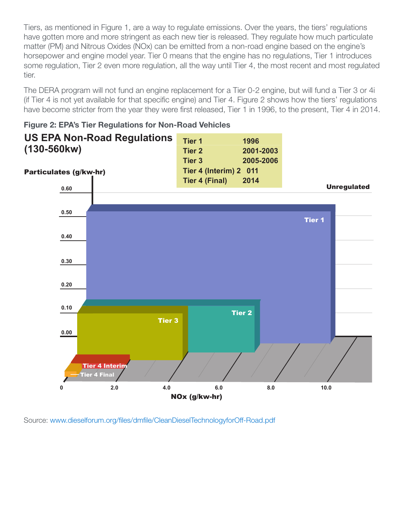Tiers, as mentioned in Figure 1, are a way to regulate emissions. Over the years, the tiers' regulations have gotten more and more stringent as each new tier is released. They regulate how much particulate matter (PM) and Nitrous Oxides (NOx) can be emitted from a non-road engine based on the engine's horsepower and engine model year. Tier 0 means that the engine has no regulations, Tier 1 introduces some regulation, Tier 2 even more regulation, all the way until Tier 4, the most recent and most regulated tier.

The DERA program will not fund an engine replacement for a Tier 0-2 engine, but will fund a Tier 3 or 4i (if Tier 4 is not yet available for that specific engine) and Tier 4. Figure 2 shows how the tiers' regulations have become stricter from the year they were first released, Tier 1 in 1996, to the present, Tier 4 in 2014.



**Figure 2: EPA's Tier Regulations for Non-Road Vehicles** 

Source: [www.dieselforum.org/files/dmfile/CleanDieselTechnologyforOff-Road.pdf](http://www.dieselforum.org/files/dmfile/CleanDieselTechnologyforOff-Road.pdf)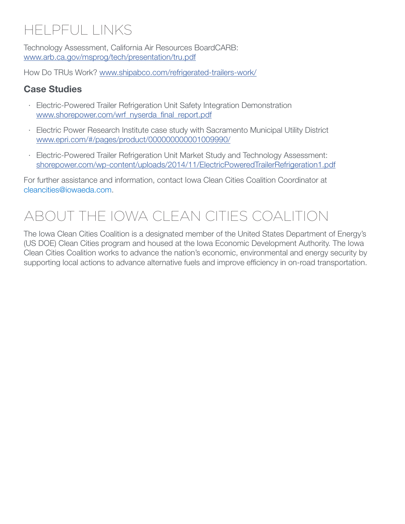# HELPFUL LINKS

Technology Assessment, California Air Resources BoardCARB: [www.arb.ca.gov/msprog/tech/presentation/tru.pdf](https://www.arb.ca.gov/msprog/tech/presentation/tru.pdf)

How Do TRUs Work? [www.shipabco.com/refrigerated-trailers-work/](https://www.shipabco.com/refrigerated-trailers-work/)

#### **Case Studies**

- · Electric-Powered Trailer Refrigeration Unit Safety Integration Demonstration [www.shorepower.com/wrf\\_nyserda\\_final\\_report.pdf](http://www.shorepower.com/wrf_nyserda_final_report.pdf)
- · Electric Power Research Institute case study with Sacramento Municipal Utility District [www.epri.com/#/pages/product/000000000001009990/](https://www.epri.com/#/pages/product/000000000001009990/)
- · Electric-Powered Trailer Refrigeration Unit Market Study and Technology Assessment: [shorepower.com/wp-content/uploads/2014/11/ElectricPoweredTrailerRefrigeration1.pdf](http://shorepower.com/wp-content/uploads/2014/11/ElectricPoweredTrailerRefrigeration1.pdf)

For further assistance and information, contact Iowa Clean Cities Coalition Coordinator at [cleancities@iowaeda.com.](mailto:cleancities%40iowaeda.com?subject=)

### ABOUT THE IOWA CLEAN CITIES COALITION

The Iowa Clean Cities Coalition is a designated member of the United States Department of Energy's (US DOE) Clean Cities program and housed at the Iowa Economic Development Authority. The Iowa Clean Cities Coalition works to advance the nation's economic, environmental and energy security by supporting local actions to advance alternative fuels and improve efficiency in on-road transportation.